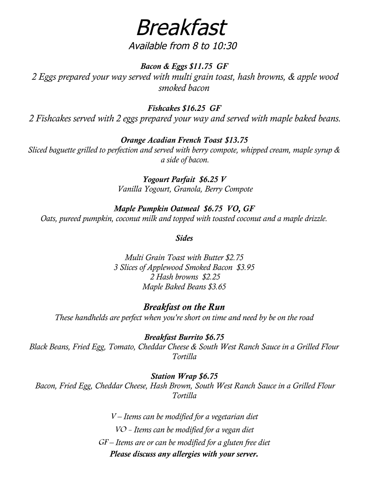Breakfast

### Available from 8 to 10:30

*Bacon & Eggs \$11.75 GF 2 Eggs prepared your way served with multi grain toast, hash browns, & apple wood smoked bacon*

#### *Fishcakes \$16.25 GF*

 *2 Fishcakes served with 2 eggs prepared your way and served with maple baked beans.*

#### *Orange Acadian French Toast \$13.75*

*Sliced baguette grilled to perfection and served with berry compote, whipped cream, maple syrup & a side of bacon.*

> *Yogourt Parfait \$6.25 V Vanilla Yogourt, Granola, Berry Compote*

*Maple Pumpkin Oatmeal \$6.75 VO, GF*

*Oats, pureed pumpkin, coconut milk and topped with toasted coconut and a maple drizzle.*

*Sides*

*Multi Grain Toast with Butter \$2.75 3 Slices of Applewood Smoked Bacon \$3.95 2 Hash browns \$2.25 Maple Baked Beans \$3.65*

#### *Breakfast on the Run*

*These handhelds are perfect when you're short on time and need by be on the road*

*Breakfast Burrito \$6.75 Black Beans, Fried Egg, Tomato, Cheddar Cheese & South West Ranch Sauce in a Grilled Flour Tortilla*

#### *Station Wrap \$6.75*

 *Bacon, Fried Egg, Cheddar Cheese, Hash Brown, South West Ranch Sauce in a Grilled Flour Tortilla*

> <sup>V</sup> *– Items can be modified for a vegetarian diet* VO - *Items can be modified for a vegan diet* GF *– Items are or can be modified for a gluten free diet Please discuss any allergies with your server.*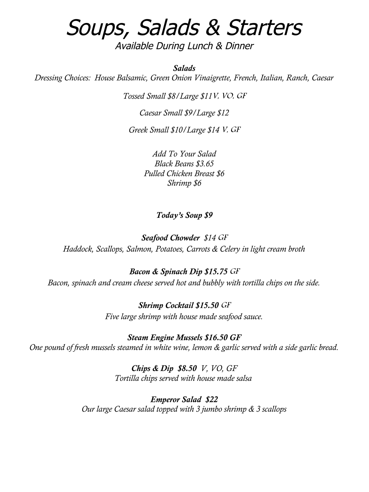# Soups, Salads & Starters

Available During Lunch & Dinner

*Salads*

*Dressing Choices: House Balsamic, Green Onion Vinaigrette, French, Italian, Ranch, Caesar*

*Tossed Small \$8/Large \$11*V, VO, GF

*Caesar Small \$9/Large \$12*

*Greek Small \$10/Large \$14* V, GF

*Add To Your Salad Black Beans \$3.65 Pulled Chicken Breast \$6 Shrimp \$6*

#### *Today's Soup \$9*

*Seafood Chowder \$14* GF *Haddock, Scallops, Salmon, Potatoes, Carrots & Celery in light cream broth*

*Bacon & Spinach Dip \$15.75* GF *Bacon, spinach and cream cheese served hot and bubbly with tortilla chips on the side.*

> *Shrimp Cocktail \$15.50* GF *Five large shrimp with house made seafood sauce.*

*Steam Engine Mussels \$16.50 GF One pound of fresh mussels steamed in white wine, lemon & garlic served with a side garlic bread.*

> *Chips & Dip \$8.50 V, VO, GF Tortilla chips served with house made salsa*

*Emperor Salad \$22 Our large Caesar salad topped with 3 jumbo shrimp & 3 scallops*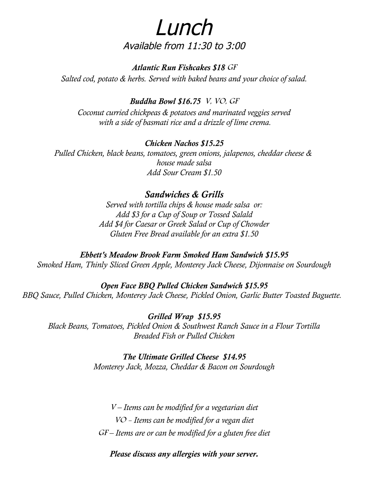# Lunch Available from 11:30 to 3:00

*Atlantic Run Fishcakes \$18* GF

*Salted cod, potato & herbs. Served with baked beans and your choice of salad.*

#### *Buddha Bowl \$16.75* V, VO, GF

*Coconut curried chickpeas & potatoes and marinated veggies served with a side of basmati rice and a drizzle of lime crema.*

#### *Chicken Nachos \$15.25*

*Pulled Chicken, black beans, tomatoes, green onions, jalapenos, cheddar cheese & house made salsa Add Sour Cream \$1.50*

### *Sandwiches & Grills*

*Served with tortilla chips & house made salsa or: Add \$3 for a Cup of Soup or Tossed Salald Add \$4 for Caesar or Greek Salad or Cup of Chowder Gluten Free Bread available for an extra \$1.50*

*Ebbett's Meadow Brook Farm Smoked Ham Sandwich \$15.95 Smoked Ham, Thinly Sliced Green Apple, Monterey Jack Cheese, Dijonnaise on Sourdough*

*Open Face BBQ Pulled Chicken Sandwich \$15.95 BBQ Sauce, Pulled Chicken, Monterey Jack Cheese, Pickled Onion, Garlic Butter Toasted Baguette.* 

*Grilled Wrap \$15.95 Black Beans, Tomatoes, Pickled Onion & Southwest Ranch Sauce in a Flour Tortilla Breaded Fish or Pulled Chicken*

#### *The Ultimate Grilled Cheese \$14.95*

*Monterey Jack, Mozza, Cheddar & Bacon on Sourdough*

<sup>V</sup> *– Items can be modified for a vegetarian diet* VO - *Items can be modified for a vegan diet* GF *– Items are or can be modified for a gluten free diet*

*Please discuss any allergies with your server.*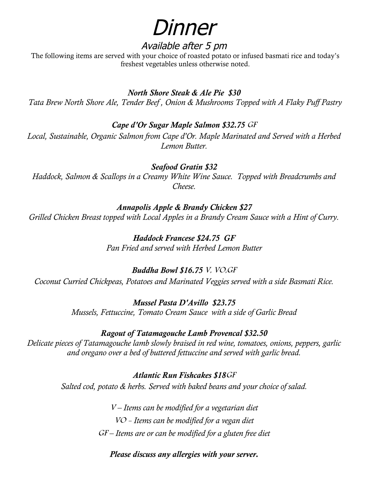# Dinner

## Available after 5 pm

 The following items are served with your choice of roasted potato or infused basmati rice and today's freshest vegetables unless otherwise noted.

### *North Shore Steak & Ale Pie \$30*

 *Tata Brew North Shore Ale, Tender Beef , Onion & Mushrooms Topped with A Flaky Puff Pastry*

### *Cape d'Or Sugar Maple Salmon \$32.75* GF

*Local, Sustainable, Organic Salmon from Cape d'Or. Maple Marinated and Served with a Herbed Lemon Butter.*

*Seafood Gratin \$32 Haddock, Salmon & Scallops in a Creamy White Wine Sauce. Topped with Breadcrumbs and Cheese.*

#### *Annapolis Apple & Brandy Chicken \$27*

*Grilled Chicken Breast topped with Local Apples in a Brandy Cream Sauce with a Hint of Curry.*

*Haddock Francese \$24.75 GF Pan Fried and served with Herbed Lemon Butter*

### *Buddha Bowl \$16.75* V, VO,GF

*Coconut Curried Chickpeas, Potatoes and Marinated Veggies served with a side Basmati Rice.*

*Mussel Pasta D'Avillo \$23.75 Mussels, Fettuccine, Tomato Cream Sauce with a side of Garlic Bread*

#### *Ragout of Tatamagouche Lamb Provencal \$32.50*

*Delicate pieces of Tatamagouche lamb slowly braised in red wine, tomatoes, onions, peppers, garlic and oregano over a bed of buttered fettuccine and served with garlic bread.*

> *Atlantic Run Fishcakes \$18*GF *Salted cod, potato & herbs. Served with baked beans and your choice of salad.*

> > <sup>V</sup> *– Items can be modified for a vegetarian diet* VO - *Items can be modified for a vegan diet* GF *– Items are or can be modified for a gluten free diet*

*Please discuss any allergies with your server.*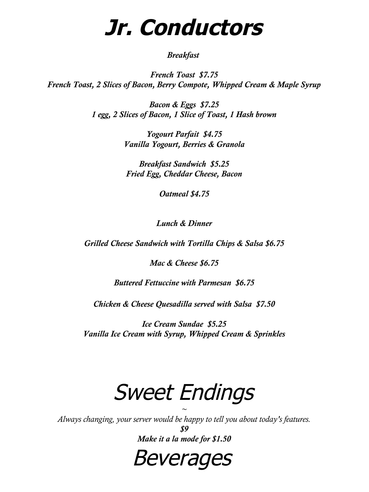# **Jr. Conductors**

#### *Breakfast*

*French Toast \$7.75 French Toast, 2 Slices of Bacon, Berry Compote, Whipped Cream & Maple Syrup* 

> *Bacon & Eggs \$7.25 1 egg, 2 Slices of Bacon, 1 Slice of Toast, 1 Hash brown*

> > *Yogourt Parfait \$4.75 Vanilla Yogourt, Berries & Granola*

*Breakfast Sandwich \$5.25 Fried Egg, Cheddar Cheese, Bacon*

*Oatmeal \$4.75*

*Lunch & Dinner*

*Grilled Cheese Sandwich with Tortilla Chips & Salsa \$6.75*

*Mac & Cheese \$6.75*

*Buttered Fettuccine with Parmesan \$6.75*

*Chicken & Cheese Quesadilla served with Salsa \$7.50*

*Ice Cream Sundae \$5.25 Vanilla Ice Cream with Syrup, Whipped Cream & Sprinkles*

# Sweet Endings

 $\sim$ *Always changing, your server would be happy to tell you about today's features.*

> *\$9 Make it a la mode for \$1.50*